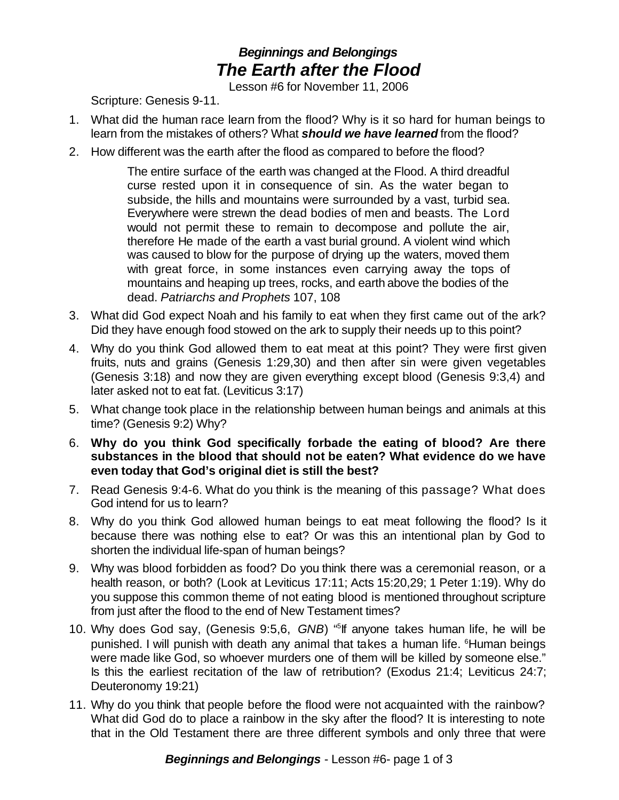## *Beginnings and Belongings The Earth after the Flood*

Lesson #6 for November 11, 2006

Scripture: Genesis 9-11.

- 1. What did the human race learn from the flood? Why is it so hard for human beings to learn from the mistakes of others? What *should we have learned* from the flood?
- 2. How different was the earth after the flood as compared to before the flood?

The entire surface of the earth was changed at the Flood. A third dreadful curse rested upon it in consequence of sin. As the water began to subside, the hills and mountains were surrounded by a vast, turbid sea. Everywhere were strewn the dead bodies of men and beasts. The Lord would not permit these to remain to decompose and pollute the air, therefore He made of the earth a vast burial ground. A violent wind which was caused to blow for the purpose of drying up the waters, moved them with great force, in some instances even carrying away the tops of mountains and heaping up trees, rocks, and earth above the bodies of the dead. *Patriarchs and Prophets* 107, 108

- 3. What did God expect Noah and his family to eat when they first came out of the ark? Did they have enough food stowed on the ark to supply their needs up to this point?
- 4. Why do you think God allowed them to eat meat at this point? They were first given fruits, nuts and grains (Genesis 1:29,30) and then after sin were given vegetables (Genesis 3:18) and now they are given everything except blood (Genesis 9:3,4) and later asked not to eat fat. (Leviticus 3:17)
- 5. What change took place in the relationship between human beings and animals at this time? (Genesis 9:2) Why?
- 6. **Why do you think God specifically forbade the eating of blood? Are there substances in the blood that should not be eaten? What evidence do we have even today that God's original diet is still the best?**
- 7. Read Genesis 9:4-6. What do you think is the meaning of this passage? What does God intend for us to learn?
- 8. Why do you think God allowed human beings to eat meat following the flood? Is it because there was nothing else to eat? Or was this an intentional plan by God to shorten the individual life-span of human beings?
- 9. Why was blood forbidden as food? Do you think there was a ceremonial reason, or a health reason, or both? (Look at Leviticus 17:11; Acts 15:20,29; 1 Peter 1:19). Why do you suppose this common theme of not eating blood is mentioned throughout scripture from just after the flood to the end of New Testament times?
- 10. Why does God say, (Genesis 9:5,6, *GNB*) " 5 If anyone takes human life, he will be punished. I will punish with death any animal that takes a human life. <sup>6</sup>Human beings were made like God, so whoever murders one of them will be killed by someone else." Is this the earliest recitation of the law of retribution? (Exodus 21:4; Leviticus 24:7; Deuteronomy 19:21)
- 11. Why do you think that people before the flood were not acquainted with the rainbow? What did God do to place a rainbow in the sky after the flood? It is interesting to note that in the Old Testament there are three different symbols and only three that were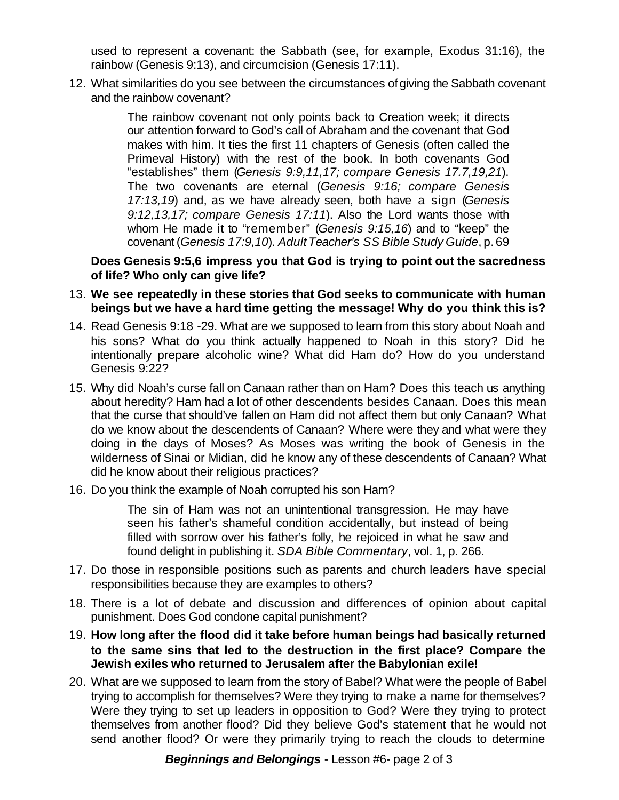used to represent a covenant: the Sabbath (see, for example, Exodus 31:16), the rainbow (Genesis 9:13), and circumcision (Genesis 17:11).

12. What similarities do you see between the circumstances ofgiving the Sabbath covenant and the rainbow covenant?

> The rainbow covenant not only points back to Creation week; it directs our attention forward to God's call of Abraham and the covenant that God makes with him. It ties the first 11 chapters of Genesis (often called the Primeval History) with the rest of the book. In both covenants God "establishes" them (*Genesis 9:9,11,17; compare Genesis 17.7,19,21*). The two covenants are eternal (*Genesis 9:16; compare Genesis 17:13,19*) and, as we have already seen, both have a sign (*Genesis 9:12,13,17; compare Genesis 17:11*). Also the Lord wants those with whom He made it to "remember" (*Genesis 9:15,16*) and to "keep" the covenant(*Genesis 17:9,10*). *AdultTeacher's SS Bible Study Guide*, p. 69

**Does Genesis 9:5,6 impress you that God is trying to point out the sacredness of life? Who only can give life?**

## 13. **We see repeatedly in these stories that God seeks to communicate with human beings but we have a hard time getting the message! Why do you think this is?**

- 14. Read Genesis 9:18 -29. What are we supposed to learn from this story about Noah and his sons? What do you think actually happened to Noah in this story? Did he intentionally prepare alcoholic wine? What did Ham do? How do you understand Genesis 9:22?
- 15. Why did Noah's curse fall on Canaan rather than on Ham? Does this teach us anything about heredity? Ham had a lot of other descendents besides Canaan. Does this mean that the curse that should've fallen on Ham did not affect them but only Canaan? What do we know about the descendents of Canaan? Where were they and what were they doing in the days of Moses? As Moses was writing the book of Genesis in the wilderness of Sinai or Midian, did he know any of these descendents of Canaan? What did he know about their religious practices?
- 16. Do you think the example of Noah corrupted his son Ham?

The sin of Ham was not an unintentional transgression. He may have seen his father's shameful condition accidentally, but instead of being filled with sorrow over his father's folly, he rejoiced in what he saw and found delight in publishing it. *SDA Bible Commentary*, vol. 1, p. 266.

- 17. Do those in responsible positions such as parents and church leaders have special responsibilities because they are examples to others?
- 18. There is a lot of debate and discussion and differences of opinion about capital punishment. Does God condone capital punishment?
- 19. **How long after the flood did it take before human beings had basically returned to the same sins that led to the destruction in the first place? Compare the Jewish exiles who returned to Jerusalem after the Babylonian exile!**
- 20. What are we supposed to learn from the story of Babel? What were the people of Babel trying to accomplish for themselves? Were they trying to make a name for themselves? Were they trying to set up leaders in opposition to God? Were they trying to protect themselves from another flood? Did they believe God's statement that he would not send another flood? Or were they primarily trying to reach the clouds to determine